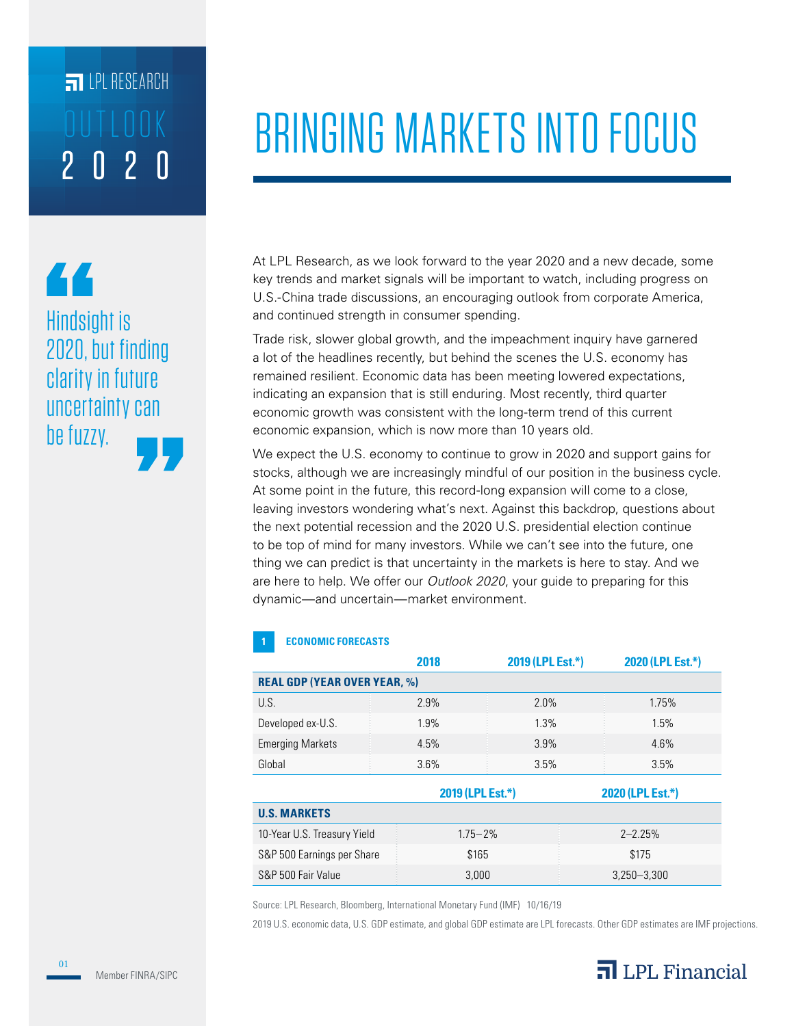## OUTLOOK Introduction LPL RESEARCH 2020

## 44 Hindsight is 2020, but finding clarity in future uncertainty can be fuzzy.

# **OUTLOOK BRINGING MARKETS INTO FOCUS**

At LPL Research, as we look forward to the year 2020 and a new decade, some key trends and market signals will be important to watch, including progress on U.S.-China trade discussions, an encouraging outlook from corporate America, and continued strength in consumer spending.

Trade risk, slower global growth, and the impeachment inquiry have garnered a lot of the headlines recently, but behind the scenes the U.S. economy has remained resilient. Economic data has been meeting lowered expectations, indicating an expansion that is still enduring. Most recently, third quarter economic growth was consistent with the long-term trend of this current economic expansion, which is now more than 10 years old.

We expect the U.S. economy to continue to grow in 2020 and support gains for stocks, although we are increasingly mindful of our position in the business cycle. At some point in the future, this record-long expansion will come to a close, leaving investors wondering what's next. Against this backdrop, questions about the next potential recession and the 2020 U.S. presidential election continue to be top of mind for many investors. While we can't see into the future, one thing we can predict is that uncertainty in the markets is here to stay. And we are here to help. We offer our *Outlook 2020*, your guide to preparing for this dynamic—and uncertain—market environment.

### **1 ECONOMIC FORECASTS**

|                                     | 2018             | 2019 (LPL Est.*) | 2020 (LPL Est.*) |
|-------------------------------------|------------------|------------------|------------------|
| <b>REAL GDP (YEAR OVER YEAR, %)</b> |                  |                  |                  |
| U.S.                                | 2.9%             | 2.0%             | 1.75%            |
| Developed ex-U.S.                   | 1.9%             | 1.3%             | 1.5%             |
| <b>Emerging Markets</b>             | 4.5%             | 3.9%             | 4.6%             |
| Global                              | $3.6\%$          | 3.5%             | 3.5%             |
|                                     | 2019 (LPL Est.*) |                  | 2020 (LPL Est.*) |
| <b>U.S. MARKETS</b>                 |                  |                  |                  |
| 10-Year U.S. Treasury Yield         | $1.75 - 2%$      |                  | $2 - 2.25%$      |
| S&P 500 Earnings per Share<br>\$165 |                  |                  | \$175            |
| S&P 500 Fair Value<br>3.000         |                  |                  | $3.250 - 3.300$  |

Source: LPL Research, Bloomberg, International Monetary Fund (IMF) 10/16/19

2019 U.S. economic data, U.S. GDP estimate, and global GDP estimate are LPL forecasts. Other GDP estimates are IMF projections.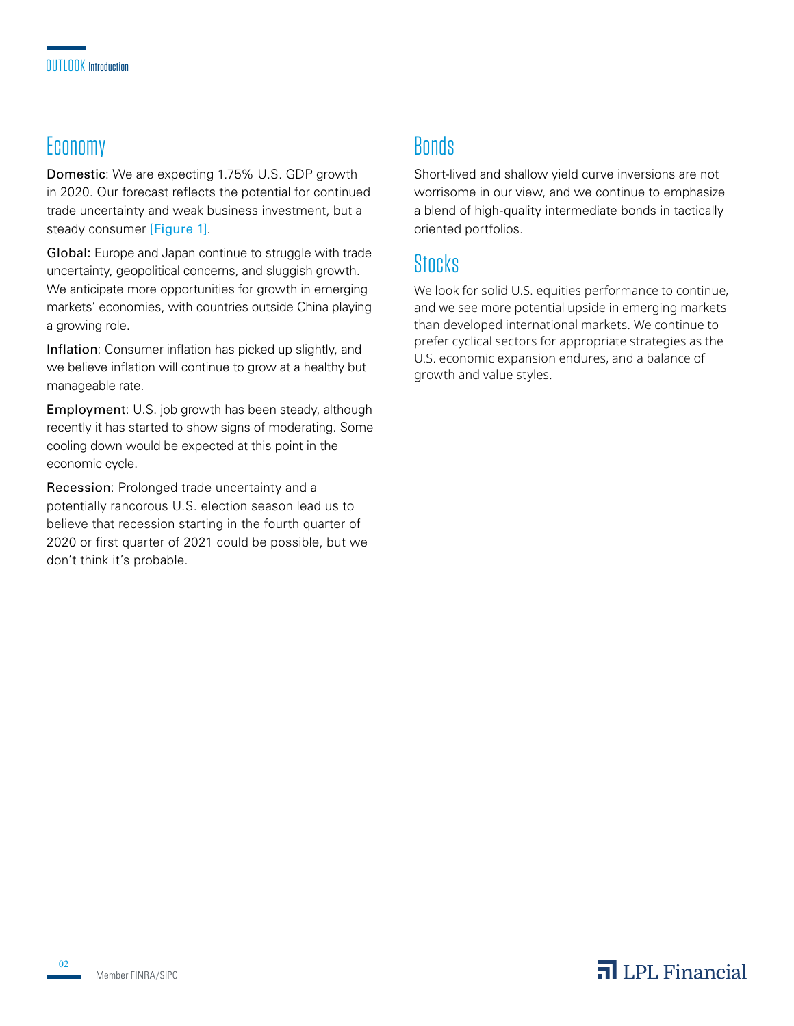## Economy

Domestic: We are expecting 1.75% U.S. GDP growth in 2020. Our forecast reflects the potential for continued trade uncertainty and weak business investment, but a steady consumer [Figure 1].

Global: Europe and Japan continue to struggle with trade uncertainty, geopolitical concerns, and sluggish growth. We anticipate more opportunities for growth in emerging markets' economies, with countries outside China playing a growing role.

Inflation: Consumer inflation has picked up slightly, and we believe inflation will continue to grow at a healthy but manageable rate.

Employment: U.S. job growth has been steady, although recently it has started to show signs of moderating. Some cooling down would be expected at this point in the economic cycle.

Recession: Prolonged trade uncertainty and a potentially rancorous U.S. election season lead us to believe that recession starting in the fourth quarter of 2020 or first quarter of 2021 could be possible, but we don't think it's probable.

## **Bonds**

Short-lived and shallow yield curve inversions are not worrisome in our view, and we continue to emphasize a blend of high-quality intermediate bonds in tactically oriented portfolios.

## **Stocks**

We look for solid U.S. equities performance to continue, and we see more potential upside in emerging markets than developed international markets. We continue to prefer cyclical sectors for appropriate strategies as the U.S. economic expansion endures, and a balance of growth and value styles.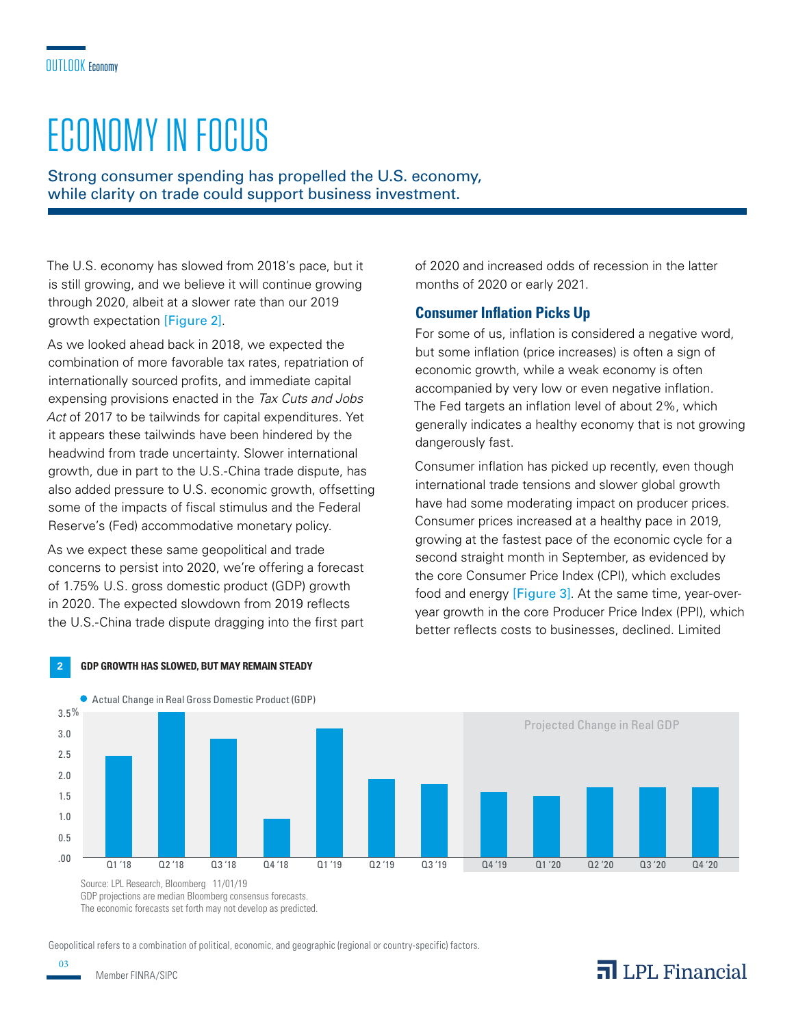## ECONOMY IN FOCUS

Strong consumer spending has propelled the U.S. economy, while clarity on trade could support business investment.

The U.S. economy has slowed from 2018's pace, but it is still growing, and we believe it will continue growing through 2020, albeit at a slower rate than our 2019 growth expectation [Figure 2].

As we looked ahead back in 2018, we expected the combination of more favorable tax rates, repatriation of internationally sourced profits, and immediate capital expensing provisions enacted in the *Tax Cuts and Jobs Act* of 2017 to be tailwinds for capital expenditures. Yet it appears these tailwinds have been hindered by the headwind from trade uncertainty. Slower international growth, due in part to the U.S.-China trade dispute, has also added pressure to U.S. economic growth, offsetting some of the impacts of fiscal stimulus and the Federal Reserve's (Fed) accommodative monetary policy.

As we expect these same geopolitical and trade concerns to persist into 2020, we're offering a forecast of 1.75% U.S. gross domestic product (GDP) growth in 2020. The expected slowdown from 2019 reflects the U.S.-China trade dispute dragging into the first part of 2020 and increased odds of recession in the latter months of 2020 or early 2021.

### **Consumer Inflation Picks Up**

For some of us, inflation is considered a negative word, but some inflation (price increases) is often a sign of economic growth, while a weak economy is often accompanied by very low or even negative inflation. The Fed targets an inflation level of about 2%, which generally indicates a healthy economy that is not growing dangerously fast.

Consumer inflation has picked up recently, even though international trade tensions and slower global growth have had some moderating impact on producer prices. Consumer prices increased at a healthy pace in 2019, growing at the fastest pace of the economic cycle for a second straight month in September, as evidenced by the core Consumer Price Index (CPI), which excludes food and energy [Figure 3]. At the same time, year-overyear growth in the core Producer Price Index (PPI), which better reflects costs to businesses, declined. Limited



#### **2 GDP GROWTH HAS SLOWED, BUT MAY REMAIN STEADY**



Source: LPL Research, Bloomberg 11/01/19 GDP projections are median Bloomberg consensus forecasts.

The economic forecasts set forth may not develop as predicted.

Geopolitical refers to a combination of political, economic, and geographic (regional or country-specific) factors.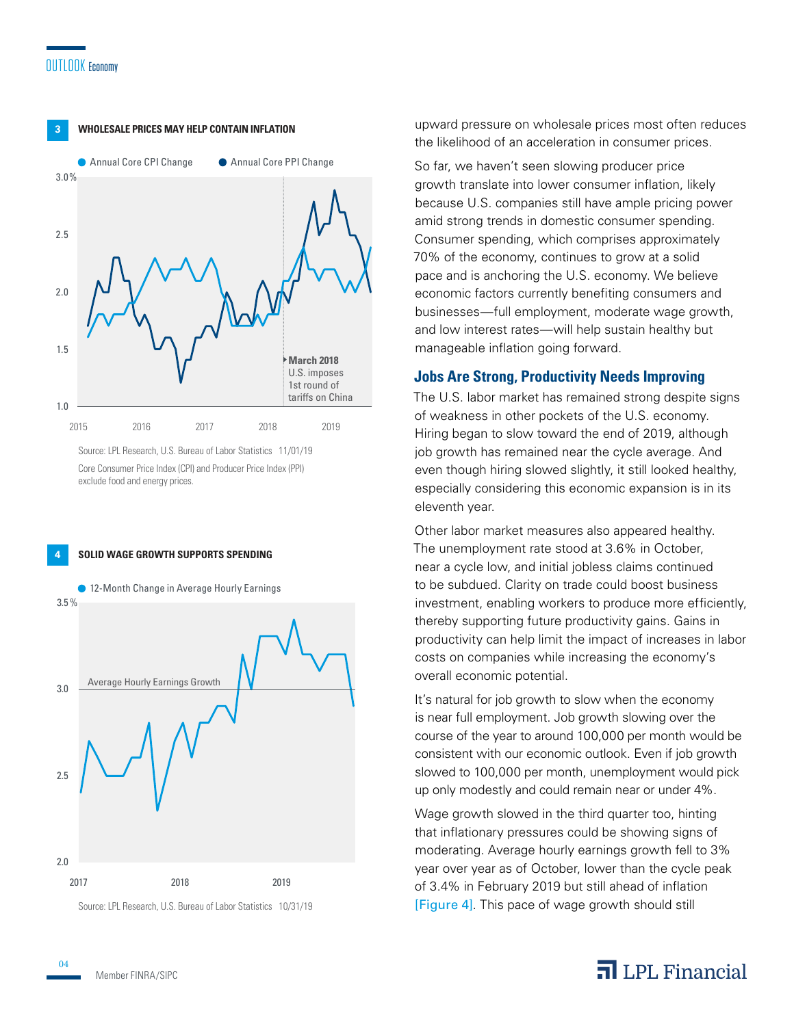#### OUTLOOK Economy



Core Consumer Price Index (CPI) and Producer Price Index (PPI) exclude food and energy prices.

**4 SOLID WAGE GROWTH SUPPORTS SPENDING**



Source: LPL Research, U.S. Bureau of Labor Statistics 10/31/19

upward pressure on wholesale prices most often reduces the likelihood of an acceleration in consumer prices.

So far, we haven't seen slowing producer price growth translate into lower consumer inflation, likely because U.S. companies still have ample pricing power amid strong trends in domestic consumer spending. Consumer spending, which comprises approximately 70% of the economy, continues to grow at a solid pace and is anchoring the U.S. economy. We believe economic factors currently benefiting consumers and businesses—full employment, moderate wage growth, and low interest rates—will help sustain healthy but manageable inflation going forward.

#### **Jobs Are Strong, Productivity Needs Improving**

The U.S. labor market has remained strong despite signs of weakness in other pockets of the U.S. economy. Hiring began to slow toward the end of 2019, although job growth has remained near the cycle average. And even though hiring slowed slightly, it still looked healthy, especially considering this economic expansion is in its eleventh year.

Other labor market measures also appeared healthy. The unemployment rate stood at 3.6% in October, near a cycle low, and initial jobless claims continued to be subdued. Clarity on trade could boost business investment, enabling workers to produce more efficiently, thereby supporting future productivity gains. Gains in productivity can help limit the impact of increases in labor costs on companies while increasing the economy's overall economic potential.

It's natural for job growth to slow when the economy is near full employment. Job growth slowing over the course of the year to around 100,000 per month would be consistent with our economic outlook. Even if job growth slowed to 100,000 per month, unemployment would pick up only modestly and could remain near or under 4%.

Wage growth slowed in the third quarter too, hinting that inflationary pressures could be showing signs of moderating. Average hourly earnings growth fell to 3% year over year as of October, lower than the cycle peak of 3.4% in February 2019 but still ahead of inflation [Figure 4]. This pace of wage growth should still

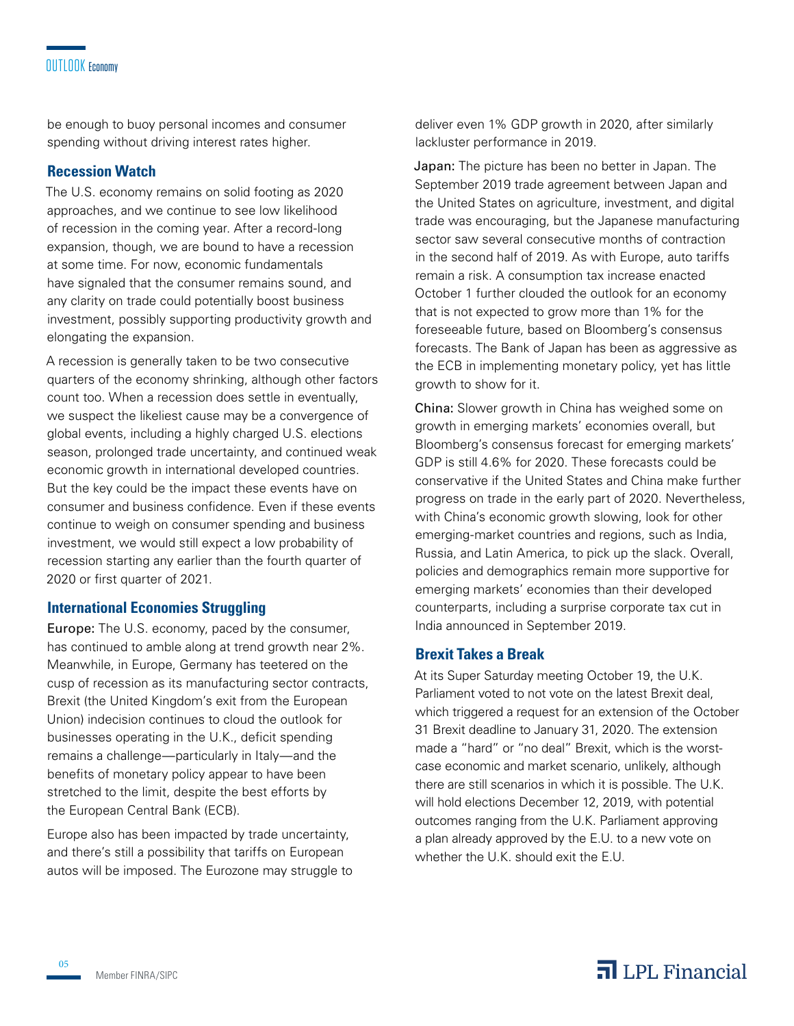be enough to buoy personal incomes and consumer spending without driving interest rates higher.

#### **Recession Watch**

The U.S. economy remains on solid footing as 2020 approaches, and we continue to see low likelihood of recession in the coming year. After a record-long expansion, though, we are bound to have a recession at some time. For now, economic fundamentals have signaled that the consumer remains sound, and any clarity on trade could potentially boost business investment, possibly supporting productivity growth and elongating the expansion.

A recession is generally taken to be two consecutive quarters of the economy shrinking, although other factors count too. When a recession does settle in eventually, we suspect the likeliest cause may be a convergence of global events, including a highly charged U.S. elections season, prolonged trade uncertainty, and continued weak economic growth in international developed countries. But the key could be the impact these events have on consumer and business confidence. Even if these events continue to weigh on consumer spending and business investment, we would still expect a low probability of recession starting any earlier than the fourth quarter of 2020 or first quarter of 2021.

### **International Economies Struggling**

Europe: The U.S. economy, paced by the consumer, has continued to amble along at trend growth near 2%. Meanwhile, in Europe, Germany has teetered on the cusp of recession as its manufacturing sector contracts, Brexit (the United Kingdom's exit from the European Union) indecision continues to cloud the outlook for businesses operating in the U.K., deficit spending remains a challenge—particularly in Italy—and the benefits of monetary policy appear to have been stretched to the limit, despite the best efforts by the European Central Bank (ECB).

Europe also has been impacted by trade uncertainty, and there's still a possibility that tariffs on European autos will be imposed. The Eurozone may struggle to deliver even 1% GDP growth in 2020, after similarly lackluster performance in 2019.

Japan: The picture has been no better in Japan. The September 2019 trade agreement between Japan and the United States on agriculture, investment, and digital trade was encouraging, but the Japanese manufacturing sector saw several consecutive months of contraction in the second half of 2019. As with Europe, auto tariffs remain a risk. A consumption tax increase enacted October 1 further clouded the outlook for an economy that is not expected to grow more than 1% for the foreseeable future, based on Bloomberg's consensus forecasts. The Bank of Japan has been as aggressive as the ECB in implementing monetary policy, yet has little growth to show for it.

China: Slower growth in China has weighed some on growth in emerging markets' economies overall, but Bloomberg's consensus forecast for emerging markets' GDP is still 4.6% for 2020. These forecasts could be conservative if the United States and China make further progress on trade in the early part of 2020. Nevertheless, with China's economic growth slowing, look for other emerging-market countries and regions, such as India, Russia, and Latin America, to pick up the slack. Overall, policies and demographics remain more supportive for emerging markets' economies than their developed counterparts, including a surprise corporate tax cut in India announced in September 2019.

#### **Brexit Takes a Break**

At its Super Saturday meeting October 19, the U.K. Parliament voted to not vote on the latest Brexit deal, which triggered a request for an extension of the October 31 Brexit deadline to January 31, 2020. The extension made a "hard" or "no deal" Brexit, which is the worstcase economic and market scenario, unlikely, although there are still scenarios in which it is possible. The U.K. will hold elections December 12, 2019, with potential outcomes ranging from the U.K. Parliament approving a plan already approved by the E.U. to a new vote on whether the U.K. should exit the E.U.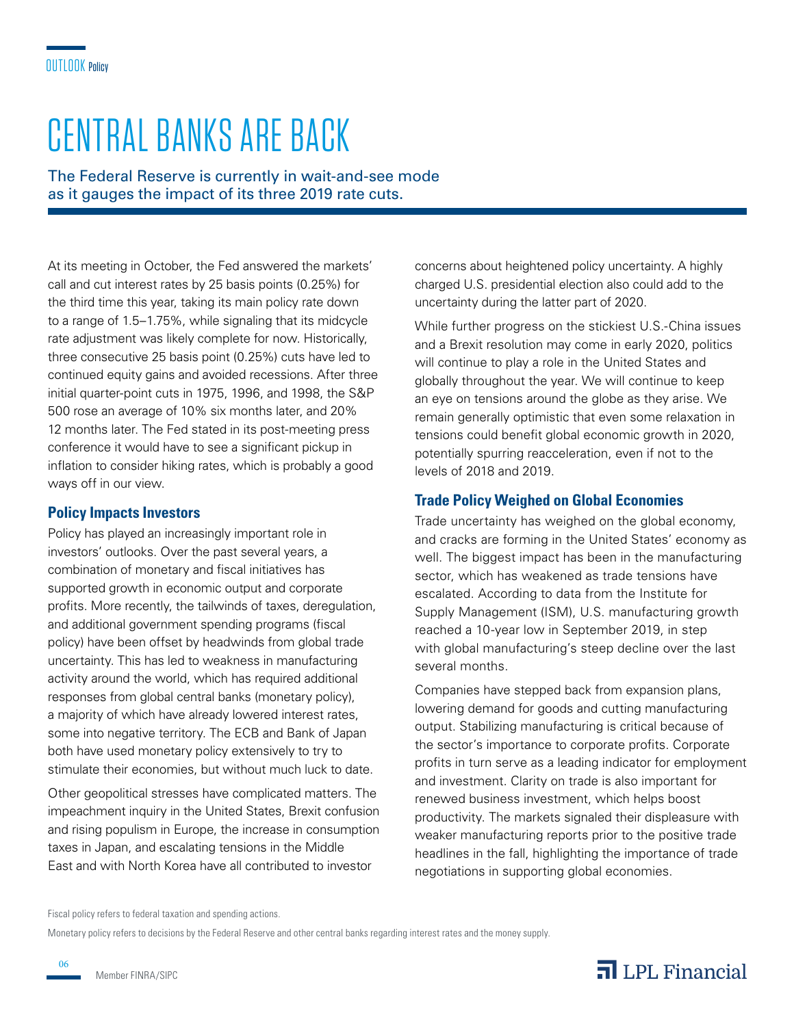## CENTRAL BANKS ARE BACK

The Federal Reserve is currently in wait-and-see mode as it gauges the impact of its three 2019 rate cuts.

At its meeting in October, the Fed answered the markets' call and cut interest rates by 25 basis points (0.25%) for the third time this year, taking its main policy rate down to a range of 1.5–1.75%, while signaling that its midcycle rate adjustment was likely complete for now. Historically, three consecutive 25 basis point (0.25%) cuts have led to continued equity gains and avoided recessions. After three initial quarter-point cuts in 1975, 1996, and 1998, the S&P 500 rose an average of 10% six months later, and 20% 12 months later. The Fed stated in its post-meeting press conference it would have to see a significant pickup in inflation to consider hiking rates, which is probably a good ways off in our view.

### **Policy Impacts Investors**

Policy has played an increasingly important role in investors' outlooks. Over the past several years, a combination of monetary and fiscal initiatives has supported growth in economic output and corporate profits. More recently, the tailwinds of taxes, deregulation, and additional government spending programs (fiscal policy) have been offset by headwinds from global trade uncertainty. This has led to weakness in manufacturing activity around the world, which has required additional responses from global central banks (monetary policy), a majority of which have already lowered interest rates, some into negative territory. The ECB and Bank of Japan both have used monetary policy extensively to try to stimulate their economies, but without much luck to date.

Other geopolitical stresses have complicated matters. The impeachment inquiry in the United States, Brexit confusion and rising populism in Europe, the increase in consumption taxes in Japan, and escalating tensions in the Middle East and with North Korea have all contributed to investor

concerns about heightened policy uncertainty. A highly charged U.S. presidential election also could add to the uncertainty during the latter part of 2020.

While further progress on the stickiest U.S.-China issues and a Brexit resolution may come in early 2020, politics will continue to play a role in the United States and globally throughout the year. We will continue to keep an eye on tensions around the globe as they arise. We remain generally optimistic that even some relaxation in tensions could benefit global economic growth in 2020, potentially spurring reacceleration, even if not to the levels of 2018 and 2019.

### **Trade Policy Weighed on Global Economies**

Trade uncertainty has weighed on the global economy, and cracks are forming in the United States' economy as well. The biggest impact has been in the manufacturing sector, which has weakened as trade tensions have escalated. According to data from the Institute for Supply Management (ISM), U.S. manufacturing growth reached a 10-year low in September 2019, in step with global manufacturing's steep decline over the last several months.

Companies have stepped back from expansion plans, lowering demand for goods and cutting manufacturing output. Stabilizing manufacturing is critical because of the sector's importance to corporate profits. Corporate profits in turn serve as a leading indicator for employment and investment. Clarity on trade is also important for renewed business investment, which helps boost productivity. The markets signaled their displeasure with weaker manufacturing reports prior to the positive trade headlines in the fall, highlighting the importance of trade negotiations in supporting global economies.

Fiscal policy refers to federal taxation and spending actions.

Monetary policy refers to decisions by the Federal Reserve and other central banks regarding interest rates and the money supply.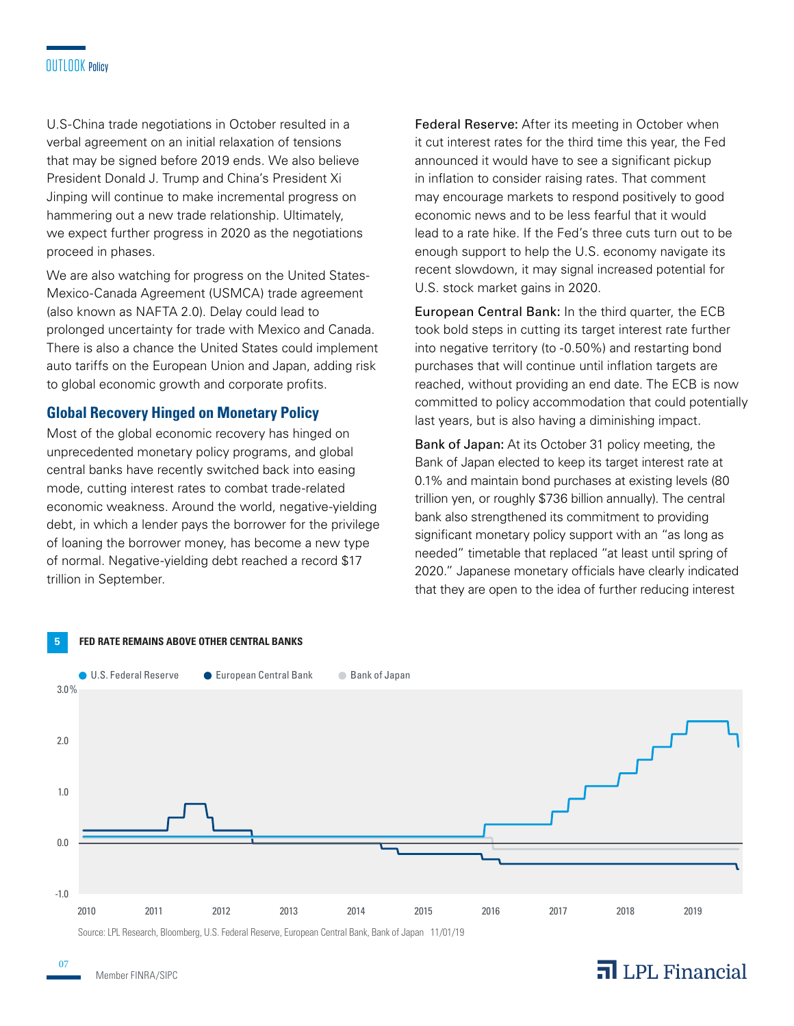U.S-China trade negotiations in October resulted in a verbal agreement on an initial relaxation of tensions that may be signed before 2019 ends. We also believe President Donald J. Trump and China's President Xi Jinping will continue to make incremental progress on hammering out a new trade relationship. Ultimately, we expect further progress in 2020 as the negotiations proceed in phases.

We are also watching for progress on the United States-Mexico-Canada Agreement (USMCA) trade agreement (also known as NAFTA 2.0). Delay could lead to prolonged uncertainty for trade with Mexico and Canada. There is also a chance the United States could implement auto tariffs on the European Union and Japan, adding risk to global economic growth and corporate profits.

#### **Global Recovery Hinged on Monetary Policy**

Most of the global economic recovery has hinged on unprecedented monetary policy programs, and global central banks have recently switched back into easing mode, cutting interest rates to combat trade-related economic weakness. Around the world, negative-yielding debt, in which a lender pays the borrower for the privilege of loaning the borrower money, has become a new type of normal. Negative-yielding debt reached a record \$17 trillion in September.

Federal Reserve: After its meeting in October when it cut interest rates for the third time this year, the Fed announced it would have to see a significant pickup in inflation to consider raising rates. That comment may encourage markets to respond positively to good economic news and to be less fearful that it would lead to a rate hike. If the Fed's three cuts turn out to be enough support to help the U.S. economy navigate its recent slowdown, it may signal increased potential for U.S. stock market gains in 2020.

European Central Bank: In the third quarter, the ECB took bold steps in cutting its target interest rate further into negative territory (to -0.50%) and restarting bond purchases that will continue until inflation targets are reached, without providing an end date. The ECB is now committed to policy accommodation that could potentially last years, but is also having a diminishing impact.

Bank of Japan: At its October 31 policy meeting, the Bank of Japan elected to keep its target interest rate at 0.1% and maintain bond purchases at existing levels (80 trillion yen, or roughly \$736 billion annually). The central bank also strengthened its commitment to providing significant monetary policy support with an "as long as needed" timetable that replaced "at least until spring of 2020." Japanese monetary officials have clearly indicated that they are open to the idea of further reducing interest



Source: LPL Research, Bloomberg, U.S. Federal Reserve, European Central Bank, Bank of Japan 11/01/19

## $\overline{\mathbf{a}}$  LPL Financial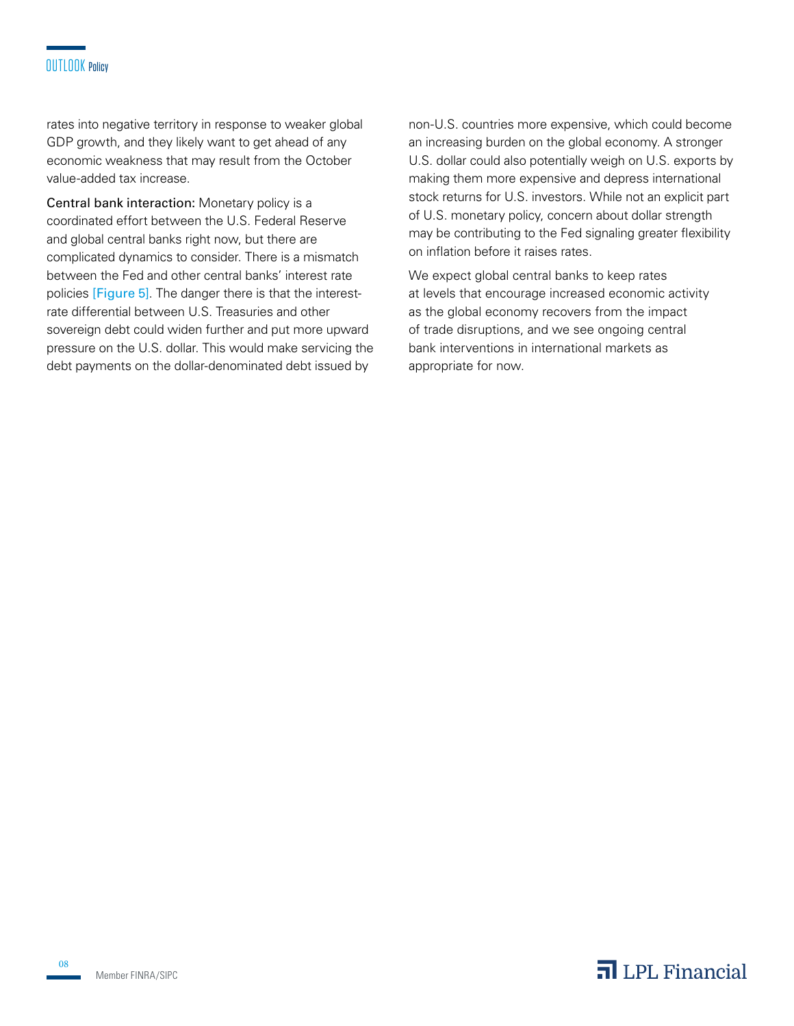### OUTLOOK Policy

rates into negative territory in response to weaker global GDP growth, and they likely want to get ahead of any economic weakness that may result from the October value-added tax increase.

Central bank interaction: Monetary policy is a coordinated effort between the U.S. Federal Reserve and global central banks right now, but there are complicated dynamics to consider. There is a mismatch between the Fed and other central banks' interest rate policies [Figure 5]. The danger there is that the interestrate differential between U.S. Treasuries and other sovereign debt could widen further and put more upward pressure on the U.S. dollar. This would make servicing the debt payments on the dollar-denominated debt issued by

non-U.S. countries more expensive, which could become an increasing burden on the global economy. A stronger U.S. dollar could also potentially weigh on U.S. exports by making them more expensive and depress international stock returns for U.S. investors. While not an explicit part of U.S. monetary policy, concern about dollar strength may be contributing to the Fed signaling greater flexibility on inflation before it raises rates.

We expect global central banks to keep rates at levels that encourage increased economic activity as the global economy recovers from the impact of trade disruptions, and we see ongoing central bank interventions in international markets as appropriate for now.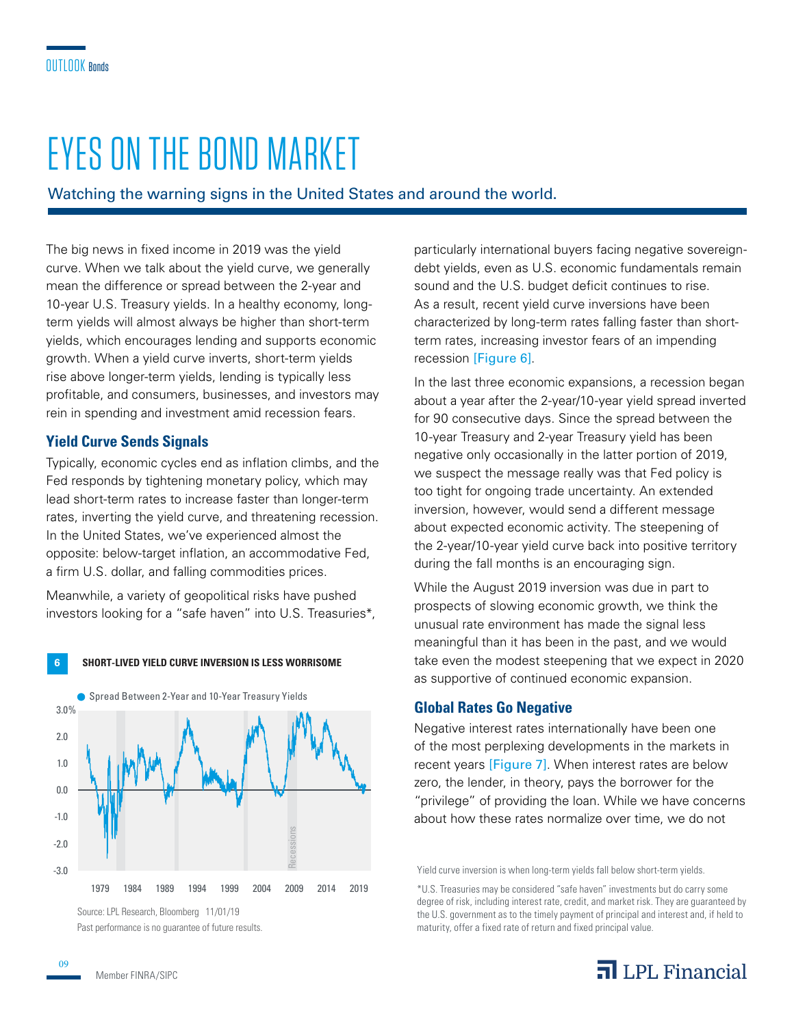## EYES ON THE BOND MARKET

### Watching the warning signs in the United States and around the world.

The big news in fixed income in 2019 was the yield curve. When we talk about the yield curve, we generally mean the difference or spread between the 2-year and 10-year U.S. Treasury yields. In a healthy economy, longterm yields will almost always be higher than short-term yields, which encourages lending and supports economic growth. When a yield curve inverts, short-term yields rise above longer-term yields, lending is typically less profitable, and consumers, businesses, and investors may rein in spending and investment amid recession fears.

### **Yield Curve Sends Signals**

Typically, economic cycles end as inflation climbs, and the Fed responds by tightening monetary policy, which may lead short-term rates to increase faster than longer-term rates, inverting the yield curve, and threatening recession. In the United States, we've experienced almost the opposite: below-target inflation, an accommodative Fed, a firm U.S. dollar, and falling commodities prices.

Meanwhile, a variety of geopolitical risks have pushed investors looking for a "safe haven" into U.S. Treasuries\*,

**6 SHORT-LIVED YIELD CURVE INVERSION IS LESS WORRISOME**



Past performance is no guarantee of future results.

particularly international buyers facing negative sovereigndebt yields, even as U.S. economic fundamentals remain sound and the U.S. budget deficit continues to rise. As a result, recent yield curve inversions have been characterized by long-term rates falling faster than shortterm rates, increasing investor fears of an impending recession [Figure 6].

In the last three economic expansions, a recession began about a year after the 2-year/10-year yield spread inverted for 90 consecutive days. Since the spread between the 10-year Treasury and 2-year Treasury yield has been negative only occasionally in the latter portion of 2019, we suspect the message really was that Fed policy is too tight for ongoing trade uncertainty. An extended inversion, however, would send a different message about expected economic activity. The steepening of the 2-year/10-year yield curve back into positive territory during the fall months is an encouraging sign.

While the August 2019 inversion was due in part to prospects of slowing economic growth, we think the unusual rate environment has made the signal less meaningful than it has been in the past, and we would take even the modest steepening that we expect in 2020 as supportive of continued economic expansion.

### **Global Rates Go Negative**

Negative interest rates internationally have been one of the most perplexing developments in the markets in recent years [Figure 7]. When interest rates are below zero, the lender, in theory, pays the borrower for the "privilege" of providing the loan. While we have concerns about how these rates normalize over time, we do not

Yield curve inversion is when long-term yields fall below short-term yields.

\*U.S. Treasuries may be considered "safe haven" investments but do carry some degree of risk, including interest rate, credit, and market risk. They are guaranteed by the U.S. government as to the timely payment of principal and interest and, if held to maturity, offer a fixed rate of return and fixed principal value.

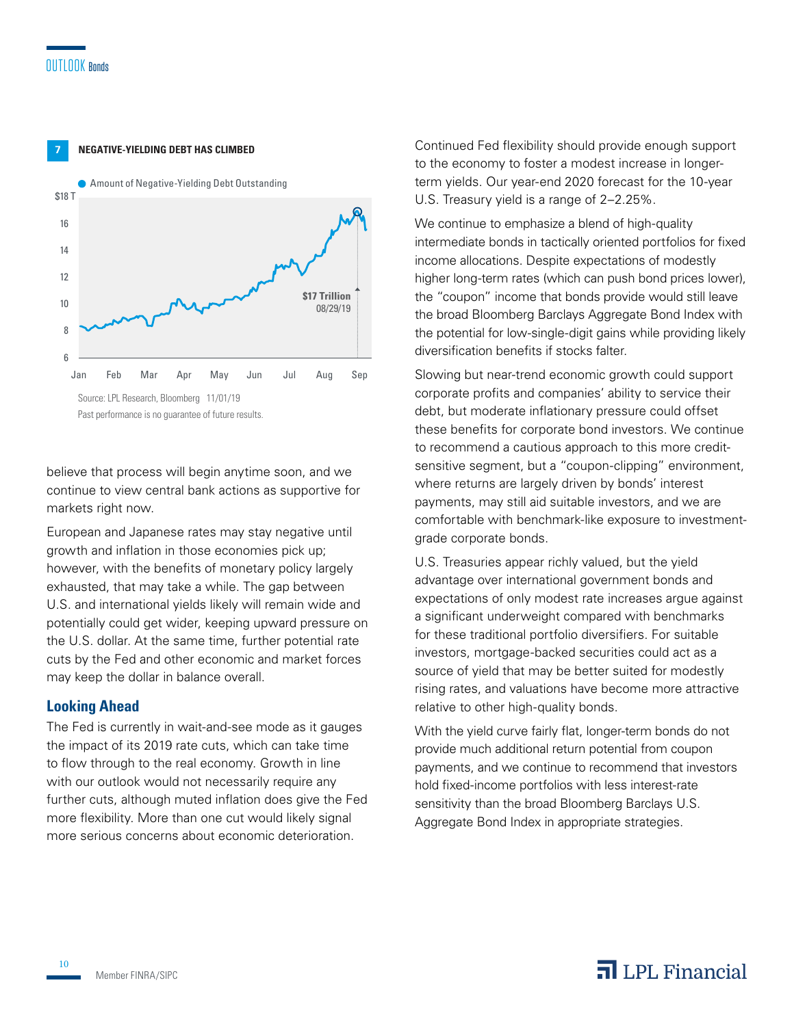



believe that process will begin anytime soon, and we continue to view central bank actions as supportive for markets right now.

European and Japanese rates may stay negative until growth and inflation in those economies pick up; however, with the benefits of monetary policy largely exhausted, that may take a while. The gap between U.S. and international yields likely will remain wide and potentially could get wider, keeping upward pressure on the U.S. dollar. At the same time, further potential rate cuts by the Fed and other economic and market forces may keep the dollar in balance overall.

#### **Looking Ahead**

The Fed is currently in wait-and-see mode as it gauges the impact of its 2019 rate cuts, which can take time to flow through to the real economy. Growth in line with our outlook would not necessarily require any further cuts, although muted inflation does give the Fed more flexibility. More than one cut would likely signal more serious concerns about economic deterioration.

Continued Fed flexibility should provide enough support to the economy to foster a modest increase in longerterm yields. Our year-end 2020 forecast for the 10-year U.S. Treasury yield is a range of 2–2.25%.

We continue to emphasize a blend of high-quality intermediate bonds in tactically oriented portfolios for fixed income allocations. Despite expectations of modestly higher long-term rates (which can push bond prices lower), the "coupon" income that bonds provide would still leave the broad Bloomberg Barclays Aggregate Bond Index with the potential for low-single-digit gains while providing likely diversification benefits if stocks falter.

Slowing but near-trend economic growth could support corporate profits and companies' ability to service their debt, but moderate inflationary pressure could offset these benefits for corporate bond investors. We continue to recommend a cautious approach to this more creditsensitive segment, but a "coupon-clipping" environment, where returns are largely driven by bonds' interest payments, may still aid suitable investors, and we are comfortable with benchmark-like exposure to investmentgrade corporate bonds.

U.S. Treasuries appear richly valued, but the yield advantage over international government bonds and expectations of only modest rate increases argue against a significant underweight compared with benchmarks for these traditional portfolio diversifiers. For suitable investors, mortgage-backed securities could act as a source of yield that may be better suited for modestly rising rates, and valuations have become more attractive relative to other high-quality bonds.

With the yield curve fairly flat, longer-term bonds do not provide much additional return potential from coupon payments, and we continue to recommend that investors hold fixed-income portfolios with less interest-rate sensitivity than the broad Bloomberg Barclays U.S. Aggregate Bond Index in appropriate strategies.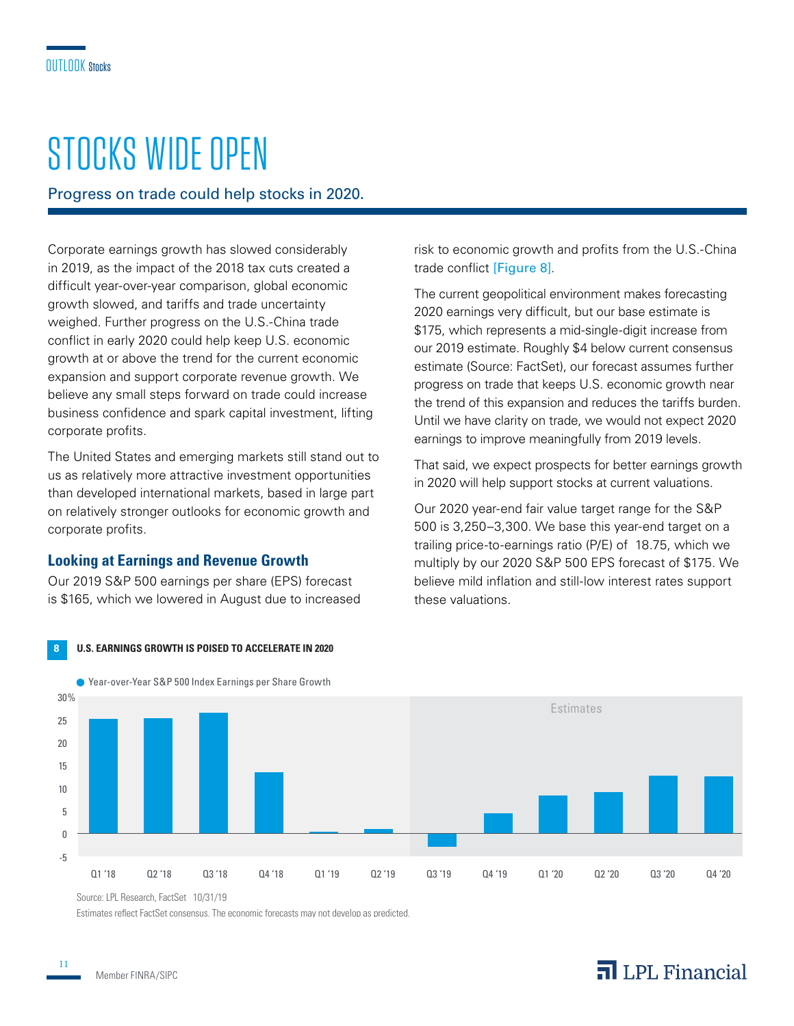## STOCKS WIDE OPEN

### Progress on trade could help stocks in 2020.

Corporate earnings growth has slowed considerably in 2019, as the impact of the 2018 tax cuts created a difficult year-over-year comparison, global economic growth slowed, and tariffs and trade uncertainty weighed. Further progress on the U.S.-China trade conflict in early 2020 could help keep U.S. economic growth at or above the trend for the current economic expansion and support corporate revenue growth. We believe any small steps forward on trade could increase business confidence and spark capital investment, lifting corporate profits.

The United States and emerging markets still stand out to us as relatively more attractive investment opportunities than developed international markets, based in large part on relatively stronger outlooks for economic growth and corporate profits.

### **Looking at Earnings and Revenue Growth**

Our 2019 S&P 500 earnings per share (EPS) forecast is \$165, which we lowered in August due to increased risk to economic growth and profits from the U.S.-China trade conflict [Figure 8].

The current geopolitical environment makes forecasting 2020 earnings very difficult, but our base estimate is \$175, which represents a mid-single-digit increase from our 2019 estimate. Roughly \$4 below current consensus estimate (Source: FactSet), our forecast assumes further progress on trade that keeps U.S. economic growth near the trend of this expansion and reduces the tariffs burden. Until we have clarity on trade, we would not expect 2020 earnings to improve meaningfully from 2019 levels.

That said, we expect prospects for better earnings growth in 2020 will help support stocks at current valuations.

Our 2020 year-end fair value target range for the S&P 500 is 3,250–3,300. We base this year-end target on a trailing price-to-earnings ratio (P/E) of 18.75, which we multiply by our 2020 S&P 500 EPS forecast of \$175. We believe mild inflation and still-low interest rates support these valuations.



## **8 U.S. EARNINGS GROWTH IS POISED TO ACCELERATE IN 2020**

● Year-over-Year S&P 500 Index Earnings per Share Growth

Source: LPL Research, FactSet 10/31/19

Estimates reflect FactSet consensus. The economic forecasts may not develop as predicted.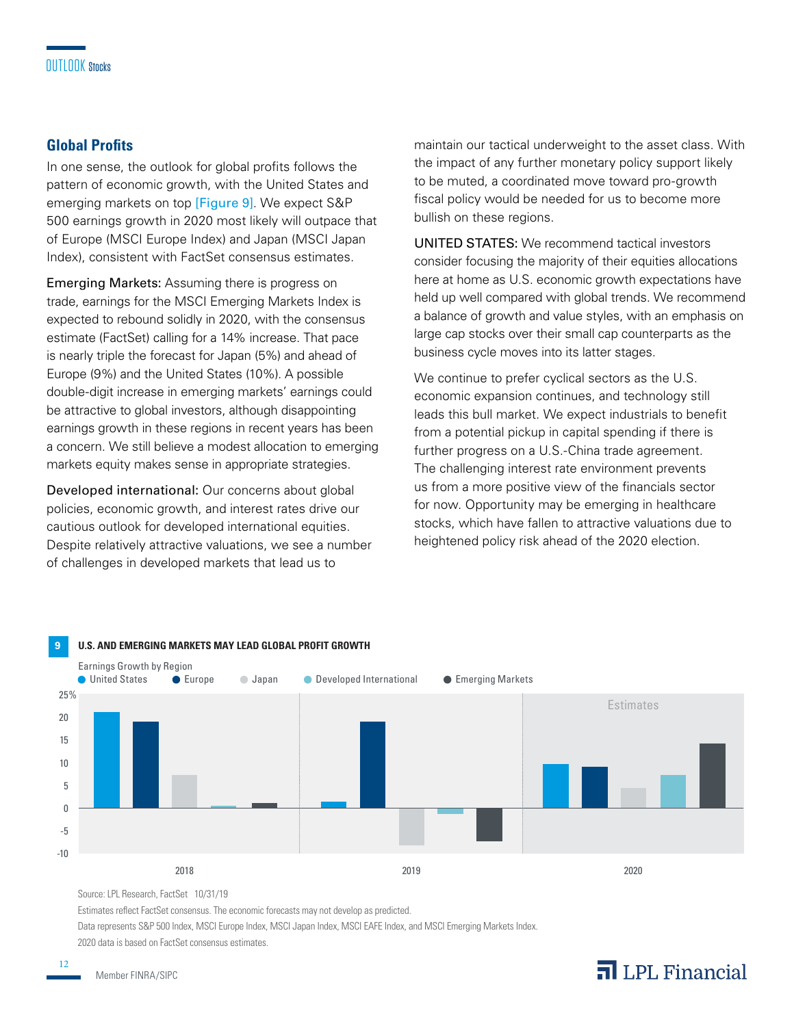#### **Global Profits**

In one sense, the outlook for global profits follows the pattern of economic growth, with the United States and emerging markets on top [Figure 9]. We expect S&P 500 earnings growth in 2020 most likely will outpace that of Europe (MSCI Europe Index) and Japan (MSCI Japan Index), consistent with FactSet consensus estimates.

Emerging Markets: Assuming there is progress on trade, earnings for the MSCI Emerging Markets Index is expected to rebound solidly in 2020, with the consensus estimate (FactSet) calling for a 14% increase. That pace is nearly triple the forecast for Japan (5%) and ahead of Europe (9%) and the United States (10%). A possible double-digit increase in emerging markets' earnings could be attractive to global investors, although disappointing earnings growth in these regions in recent years has been a concern. We still believe a modest allocation to emerging markets equity makes sense in appropriate strategies.

Developed international: Our concerns about global policies, economic growth, and interest rates drive our cautious outlook for developed international equities. Despite relatively attractive valuations, we see a number of challenges in developed markets that lead us to

**9 U.S. AND EMERGING MARKETS MAY LEAD GLOBAL PROFIT GROWTH**

maintain our tactical underweight to the asset class. With the impact of any further monetary policy support likely to be muted, a coordinated move toward pro-growth fiscal policy would be needed for us to become more bullish on these regions.

UNITED STATES: We recommend tactical investors consider focusing the majority of their equities allocations here at home as U.S. economic growth expectations have held up well compared with global trends. We recommend a balance of growth and value styles, with an emphasis on large cap stocks over their small cap counterparts as the business cycle moves into its latter stages.

We continue to prefer cyclical sectors as the U.S. economic expansion continues, and technology still leads this bull market. We expect industrials to benefit from a potential pickup in capital spending if there is further progress on a U.S.-China trade agreement. The challenging interest rate environment prevents us from a more positive view of the financials sector for now. Opportunity may be emerging in healthcare stocks, which have fallen to attractive valuations due to heightened policy risk ahead of the 2020 election.



Source: LPL Research, FactSet 10/31/19

Estimates reflect FactSet consensus. The economic forecasts may not develop as predicted.

Data represents S&P 500 Index, MSCI Europe Index, MSCI Japan Index, MSCI EAFE Index, and MSCI Emerging Markets Index.

2020 data is based on FactSet consensus estimates.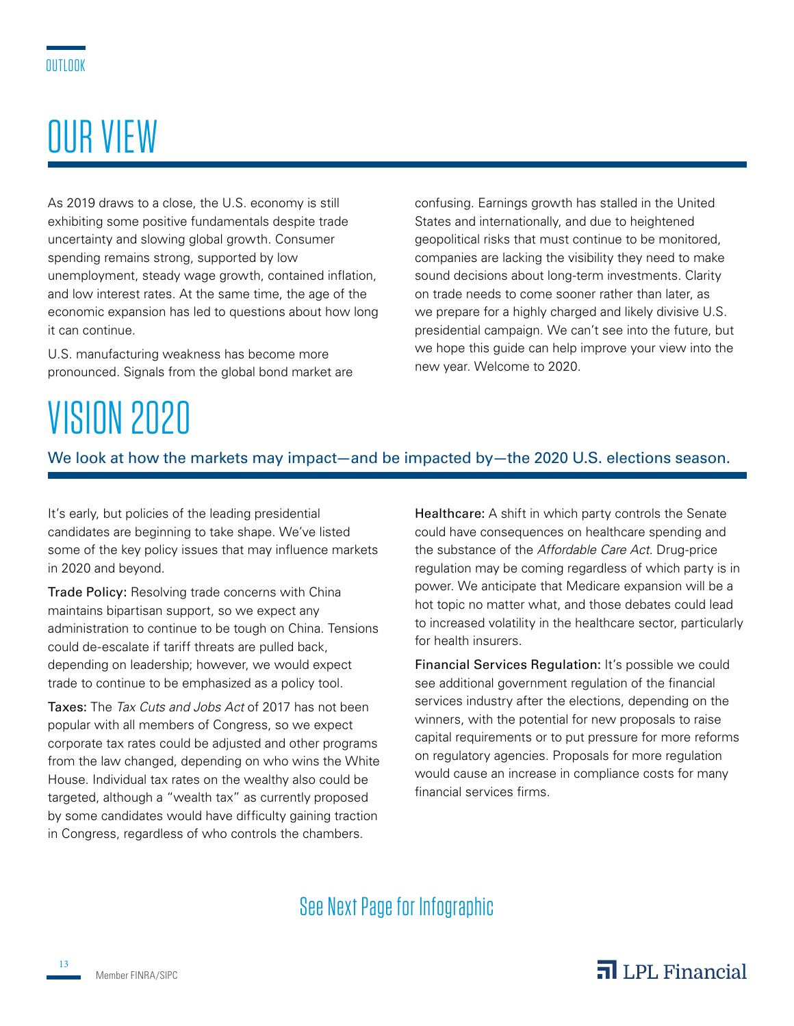## OUR VIEW

As 2019 draws to a close, the U.S. economy is still exhibiting some positive fundamentals despite trade uncertainty and slowing global growth. Consumer spending remains strong, supported by low unemployment, steady wage growth, contained inflation, and low interest rates. At the same time, the age of the economic expansion has led to questions about how long it can continue.

U.S. manufacturing weakness has become more pronounced. Signals from the global bond market are confusing. Earnings growth has stalled in the United States and internationally, and due to heightened geopolitical risks that must continue to be monitored, companies are lacking the visibility they need to make sound decisions about long-term investments. Clarity on trade needs to come sooner rather than later, as we prepare for a highly charged and likely divisive U.S. presidential campaign. We can't see into the future, but we hope this guide can help improve your view into the new year. Welcome to 2020.

## VISION 2020

We look at how the markets may impact—and be impacted by—the 2020 U.S. elections season.

It's early, but policies of the leading presidential candidates are beginning to take shape. We've listed some of the key policy issues that may influence markets in 2020 and beyond.

Trade Policy: Resolving trade concerns with China maintains bipartisan support, so we expect any administration to continue to be tough on China. Tensions could de-escalate if tariff threats are pulled back, depending on leadership; however, we would expect trade to continue to be emphasized as a policy tool.

Taxes: The *Tax Cuts and Jobs Act* of 2017 has not been popular with all members of Congress, so we expect corporate tax rates could be adjusted and other programs from the law changed, depending on who wins the White House. Individual tax rates on the wealthy also could be targeted, although a "wealth tax" as currently proposed by some candidates would have difficulty gaining traction in Congress, regardless of who controls the chambers.

Healthcare: A shift in which party controls the Senate could have consequences on healthcare spending and the substance of the *Affordable Care Act*. Drug-price regulation may be coming regardless of which party is in power. We anticipate that Medicare expansion will be a hot topic no matter what, and those debates could lead to increased volatility in the healthcare sector, particularly for health insurers.

Financial Services Regulation: It's possible we could see additional government regulation of the financial services industry after the elections, depending on the winners, with the potential for new proposals to raise capital requirements or to put pressure for more reforms on regulatory agencies. Proposals for more regulation would cause an increase in compliance costs for many financial services firms.

## See Next Page for Infographic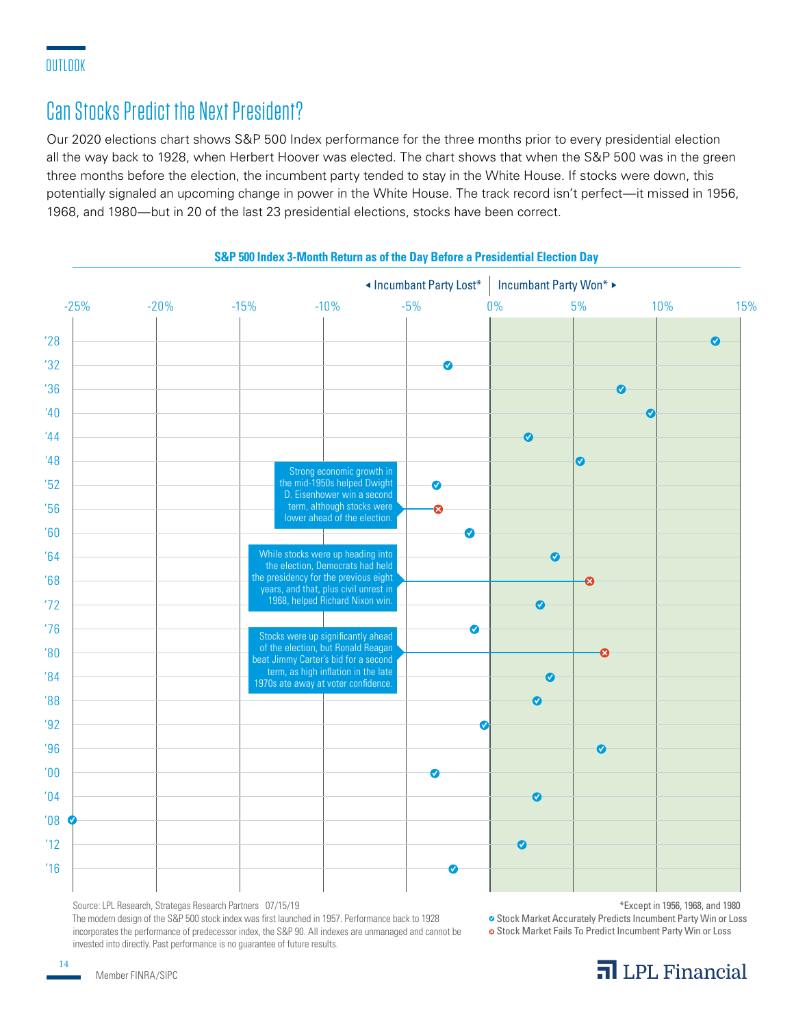## Can Stocks Predict the Next President?

Our 2020 elections chart shows S&P 500 Index performance for the three months prior to every presidential election all the way back to 1928, when Herbert Hoover was elected. The chart shows that when the S&P 500 was in the green three months before the election, the incumbent party tended to stay in the White House. If stocks were down, this potentially signaled an upcoming change in power in the White House. The track record isn't perfect—it missed in 1956, 1968, and 1980—but in 20 of the last 23 presidential elections, stocks have been correct.



#### **S&P 500 Index 3-Month Return as of the Day Before a Presidential Election Day**

Source: LPL Research, Strategas Research Partners 07/15/19

The modern design of the S&P 500 stock index was first launched in 1957. Performance back to 1928 incorporates the performance of predecessor index, the S&P 90. All indexes are unmanaged and cannot be invested into directly. Past performance is no guarantee of future results.

\*Except in 1956, 1968, and 1980

**• Stock Market Accurately Predicts Incumbent Party Win or Loss Stock Market Fails To Predict Incumbent Party Win or Loss** 

## $\overline{\mathbf{a}}$  LPL Financial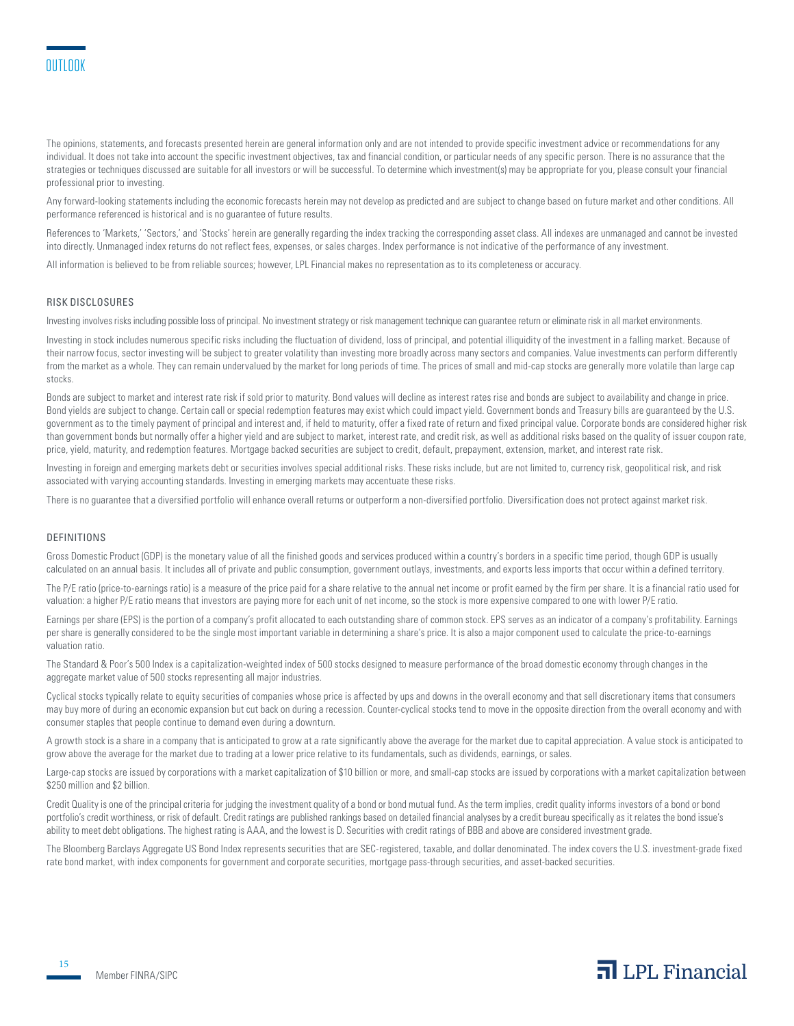The opinions, statements, and forecasts presented herein are general information only and are not intended to provide specific investment advice or recommendations for any individual. It does not take into account the specific investment objectives, tax and financial condition, or particular needs of any specific person. There is no assurance that the strategies or techniques discussed are suitable for all investors or will be successful. To determine which investment(s) may be appropriate for you, please consult your financial professional prior to investing.

Any forward-looking statements including the economic forecasts herein may not develop as predicted and are subject to change based on future market and other conditions. All performance referenced is historical and is no guarantee of future results.

References to 'Markets,' 'Sectors,' and 'Stocks' herein are generally regarding the index tracking the corresponding asset class. All indexes are unmanaged and cannot be invested into directly. Unmanaged index returns do not reflect fees, expenses, or sales charges. Index performance is not indicative of the performance of any investment.

All information is believed to be from reliable sources; however, LPL Financial makes no representation as to its completeness or accuracy.

#### RISK DISCLOSURES

Investing involves risks including possible loss of principal. No investment strategy or risk management technique can guarantee return or eliminate risk in all market environments.

Investing in stock includes numerous specific risks including the fluctuation of dividend, loss of principal, and potential illiquidity of the investment in a falling market. Because of their narrow focus, sector investing will be subject to greater volatility than investing more broadly across many sectors and companies. Value investments can perform differently from the market as a whole. They can remain undervalued by the market for long periods of time. The prices of small and mid-cap stocks are generally more volatile than large cap stocks.

Bonds are subject to market and interest rate risk if sold prior to maturity. Bond values will decline as interest rates rise and bonds are subject to availability and change in price. Bond yields are subject to change. Certain call or special redemption features may exist which could impact yield. Government bonds and Treasury bills are guaranteed by the U.S. government as to the timely payment of principal and interest and, if held to maturity, offer a fixed rate of return and fixed principal value. Corporate bonds are considered higher risk than government bonds but normally offer a higher yield and are subject to market, interest rate, and credit risk, as well as additional risks based on the quality of issuer coupon rate, price, yield, maturity, and redemption features. Mortgage backed securities are subject to credit, default, prepayment, extension, market, and interest rate risk.

Investing in foreign and emerging markets debt or securities involves special additional risks. These risks include, but are not limited to, currency risk, geopolitical risk, and risk associated with varying accounting standards. Investing in emerging markets may accentuate these risks.

There is no guarantee that a diversified portfolio will enhance overall returns or outperform a non-diversified portfolio. Diversification does not protect against market risk.

#### DEFINITIONS

Gross Domestic Product (GDP) is the monetary value of all the finished goods and services produced within a country's borders in a specific time period, though GDP is usually calculated on an annual basis. It includes all of private and public consumption, government outlays, investments, and exports less imports that occur within a defined territory.

The P/E ratio (price-to-earnings ratio) is a measure of the price paid for a share relative to the annual net income or profit earned by the firm per share. It is a financial ratio used for valuation: a higher P/E ratio means that investors are paying more for each unit of net income, so the stock is more expensive compared to one with lower P/E ratio.

Earnings per share (EPS) is the portion of a company's profit allocated to each outstanding share of common stock. EPS serves as an indicator of a company's profitability. Earnings per share is generally considered to be the single most important variable in determining a share's price. It is also a major component used to calculate the price-to-earnings valuation ratio.

The Standard & Poor's 500 Index is a capitalization-weighted index of 500 stocks designed to measure performance of the broad domestic economy through changes in the aggregate market value of 500 stocks representing all major industries.

Cyclical stocks typically relate to equity securities of companies whose price is affected by ups and downs in the overall economy and that sell discretionary items that consumers may buy more of during an economic expansion but cut back on during a recession. Counter-cyclical stocks tend to move in the opposite direction from the overall economy and with consumer staples that people continue to demand even during a downturn.

A growth stock is a share in a company that is anticipated to grow at a rate significantly above the average for the market due to capital appreciation. A value stock is anticipated to grow above the average for the market due to trading at a lower price relative to its fundamentals, such as dividends, earnings, or sales.

Large-cap stocks are issued by corporations with a market capitalization of \$10 billion or more, and small-cap stocks are issued by corporations with a market capitalization between \$250 million and \$2 billion.

Credit Quality is one of the principal criteria for judging the investment quality of a bond or bond mutual fund. As the term implies, credit quality informs investors of a bond or bond portfolio's credit worthiness, or risk of default. Credit ratings are published rankings based on detailed financial analyses by a credit bureau specifically as it relates the bond issue's ability to meet debt obligations. The highest rating is AAA, and the lowest is D. Securities with credit ratings of BBB and above are considered investment grade.

The Bloomberg Barclays Aggregate US Bond Index represents securities that are SEC-registered, taxable, and dollar denominated. The index covers the U.S. investment-grade fixed rate bond market, with index components for government and corporate securities, mortgage pass-through securities, and asset-backed securities.

15